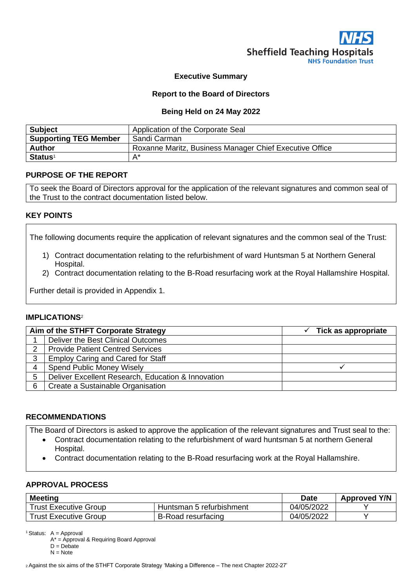

## **Executive Summary**

## **Report to the Board of Directors**

#### **Being Held on 24 May 2022**

| <b>Subject</b>               | Application of the Corporate Seal                       |
|------------------------------|---------------------------------------------------------|
| <b>Supporting TEG Member</b> | Sandi Carman                                            |
| <b>Author</b>                | Roxanne Maritz, Business Manager Chief Executive Office |
| <b>Status<sup>1</sup></b>    | A*                                                      |

## **PURPOSE OF THE REPORT**

To seek the Board of Directors approval for the application of the relevant signatures and common seal of the Trust to the contract documentation listed below.

## **KEY POINTS**

The following documents require the application of relevant signatures and the common seal of the Trust:

- 1) Contract documentation relating to the refurbishment of ward Huntsman 5 at Northern General Hospital.
- 2) Contract documentation relating to the B-Road resurfacing work at the Royal Hallamshire Hospital.

Further detail is provided in Appendix 1.

## **IMPLICATIONS**<sup>2</sup>

| Aim of the STHFT Corporate Strategy |                                                    | Tick as appropriate |  |
|-------------------------------------|----------------------------------------------------|---------------------|--|
|                                     | Deliver the Best Clinical Outcomes                 |                     |  |
| 2                                   | <b>Provide Patient Centred Services</b>            |                     |  |
| 3                                   | <b>Employ Caring and Cared for Staff</b>           |                     |  |
| 4                                   | <b>Spend Public Money Wisely</b>                   |                     |  |
| 5                                   | Deliver Excellent Research, Education & Innovation |                     |  |
| 6                                   | Create a Sustainable Organisation                  |                     |  |

## **RECOMMENDATIONS**

The Board of Directors is asked to approve the application of the relevant signatures and Trust seal to the:

- Contract documentation relating to the refurbishment of ward huntsman 5 at northern General Hospital.
- Contract documentation relating to the B-Road resurfacing work at the Royal Hallamshire.

## **APPROVAL PROCESS**

| <b>Meeting</b>               | <b>Date</b>               | <b>Approved Y/N</b> |  |
|------------------------------|---------------------------|---------------------|--|
| <b>Trust Executive Group</b> | Huntsman 5 refurbishment  | 04/05/2022          |  |
| Trust Executive Group        | <b>B-Road resurfacing</b> | 04/05/2022          |  |

<sup>1</sup> Status:  $A =$  Approval

A\* = Approval & Requiring Board Approval

 $D = Debate$ 

 $N = Note$